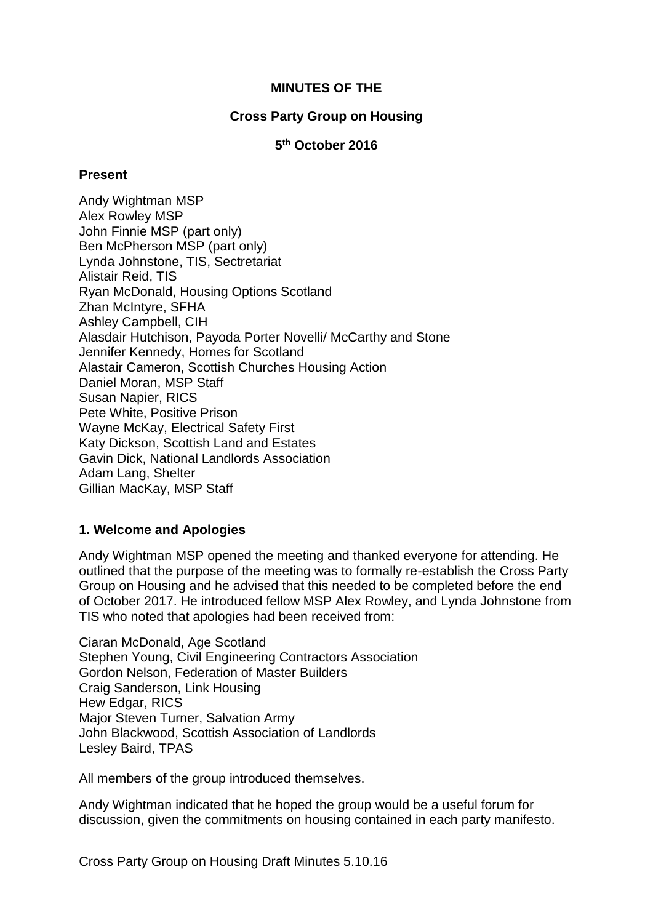### **MINUTES OF THE**

### **Cross Party Group on Housing**

#### **5 th October 2016**

#### **Present**

Andy Wightman MSP Alex Rowley MSP John Finnie MSP (part only) Ben McPherson MSP (part only) Lynda Johnstone, TIS, Sectretariat Alistair Reid, TIS Ryan McDonald, Housing Options Scotland Zhan McIntyre, SFHA Ashley Campbell, CIH Alasdair Hutchison, Payoda Porter Novelli/ McCarthy and Stone Jennifer Kennedy, Homes for Scotland Alastair Cameron, Scottish Churches Housing Action Daniel Moran, MSP Staff Susan Napier, RICS Pete White, Positive Prison Wayne McKay, Electrical Safety First Katy Dickson, Scottish Land and Estates Gavin Dick, National Landlords Association Adam Lang, Shelter Gillian MacKay, MSP Staff

#### **1. Welcome and Apologies**

Andy Wightman MSP opened the meeting and thanked everyone for attending. He outlined that the purpose of the meeting was to formally re-establish the Cross Party Group on Housing and he advised that this needed to be completed before the end of October 2017. He introduced fellow MSP Alex Rowley, and Lynda Johnstone from TIS who noted that apologies had been received from:

Ciaran McDonald, Age Scotland Stephen Young, Civil Engineering Contractors Association Gordon Nelson, Federation of Master Builders Craig Sanderson, Link Housing Hew Edgar, RICS Major Steven Turner, Salvation Army John Blackwood, Scottish Association of Landlords Lesley Baird, TPAS

All members of the group introduced themselves.

Andy Wightman indicated that he hoped the group would be a useful forum for discussion, given the commitments on housing contained in each party manifesto.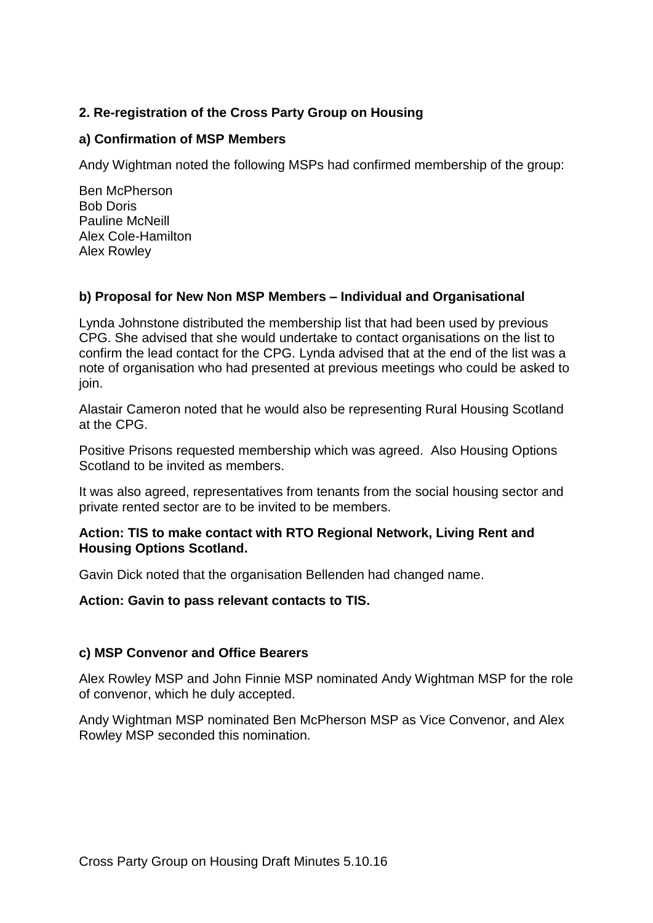# **2. Re-registration of the Cross Party Group on Housing**

### **a) Confirmation of MSP Members**

Andy Wightman noted the following MSPs had confirmed membership of the group:

Ben McPherson Bob Doris Pauline McNeill Alex Cole-Hamilton Alex Rowley

# **b) Proposal for New Non MSP Members – Individual and Organisational**

Lynda Johnstone distributed the membership list that had been used by previous CPG. She advised that she would undertake to contact organisations on the list to confirm the lead contact for the CPG. Lynda advised that at the end of the list was a note of organisation who had presented at previous meetings who could be asked to join.

Alastair Cameron noted that he would also be representing Rural Housing Scotland at the CPG.

Positive Prisons requested membership which was agreed. Also Housing Options Scotland to be invited as members.

It was also agreed, representatives from tenants from the social housing sector and private rented sector are to be invited to be members.

#### **Action: TIS to make contact with RTO Regional Network, Living Rent and Housing Options Scotland.**

Gavin Dick noted that the organisation Bellenden had changed name.

**Action: Gavin to pass relevant contacts to TIS.**

#### **c) MSP Convenor and Office Bearers**

Alex Rowley MSP and John Finnie MSP nominated Andy Wightman MSP for the role of convenor, which he duly accepted.

Andy Wightman MSP nominated Ben McPherson MSP as Vice Convenor, and Alex Rowley MSP seconded this nomination.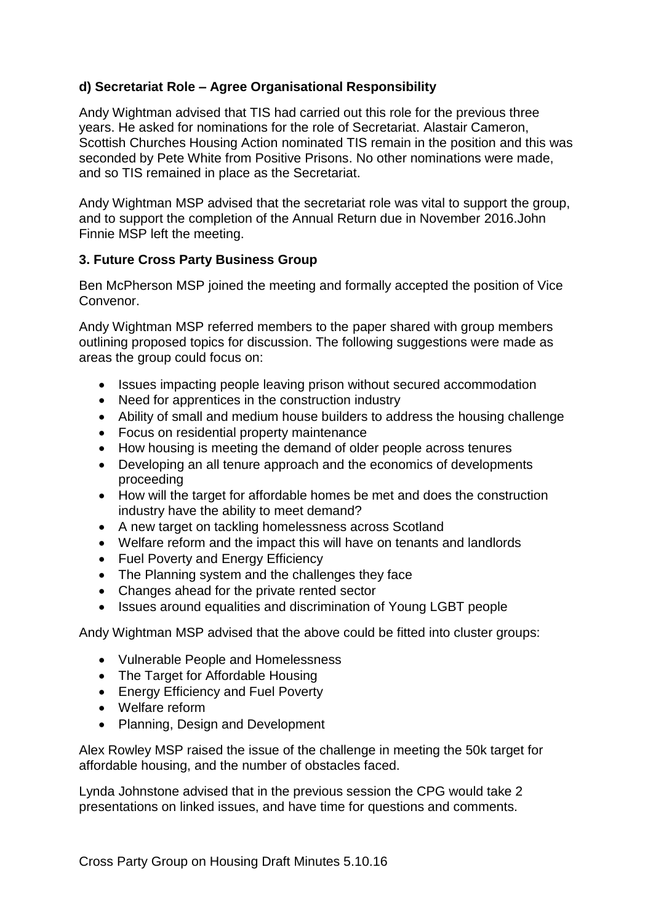# **d) Secretariat Role – Agree Organisational Responsibility**

Andy Wightman advised that TIS had carried out this role for the previous three years. He asked for nominations for the role of Secretariat. Alastair Cameron, Scottish Churches Housing Action nominated TIS remain in the position and this was seconded by Pete White from Positive Prisons. No other nominations were made, and so TIS remained in place as the Secretariat.

Andy Wightman MSP advised that the secretariat role was vital to support the group, and to support the completion of the Annual Return due in November 2016.John Finnie MSP left the meeting.

# **3. Future Cross Party Business Group**

Ben McPherson MSP joined the meeting and formally accepted the position of Vice Convenor.

Andy Wightman MSP referred members to the paper shared with group members outlining proposed topics for discussion. The following suggestions were made as areas the group could focus on:

- Issues impacting people leaving prison without secured accommodation
- Need for apprentices in the construction industry
- Ability of small and medium house builders to address the housing challenge
- Focus on residential property maintenance
- How housing is meeting the demand of older people across tenures
- Developing an all tenure approach and the economics of developments proceeding
- How will the target for affordable homes be met and does the construction industry have the ability to meet demand?
- A new target on tackling homelessness across Scotland
- Welfare reform and the impact this will have on tenants and landlords
- Fuel Poverty and Energy Efficiency
- The Planning system and the challenges they face
- Changes ahead for the private rented sector
- Issues around equalities and discrimination of Young LGBT people

Andy Wightman MSP advised that the above could be fitted into cluster groups:

- Vulnerable People and Homelessness
- The Target for Affordable Housing
- Energy Efficiency and Fuel Poverty
- Welfare reform
- Planning, Design and Development

Alex Rowley MSP raised the issue of the challenge in meeting the 50k target for affordable housing, and the number of obstacles faced.

Lynda Johnstone advised that in the previous session the CPG would take 2 presentations on linked issues, and have time for questions and comments.